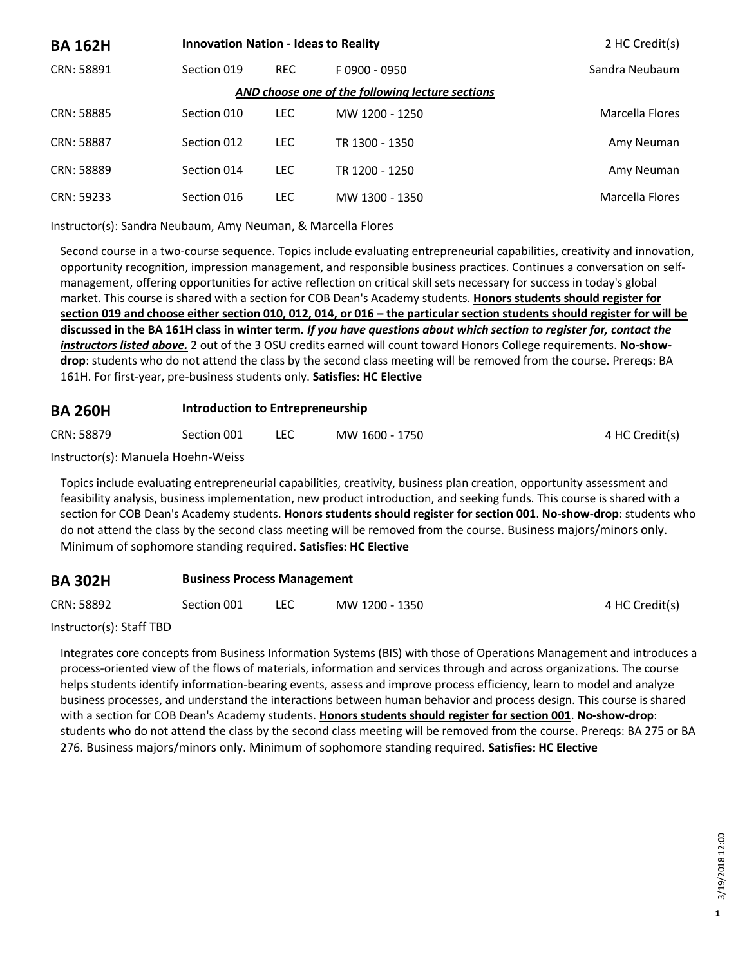| <b>BA 162H</b>                                   | <b>Innovation Nation - Ideas to Reality</b> |            |                 | 2 HC Credit(s)  |  |  |
|--------------------------------------------------|---------------------------------------------|------------|-----------------|-----------------|--|--|
| CRN: 58891                                       | Section 019                                 | <b>REC</b> | $F$ 0900 - 0950 | Sandra Neubaum  |  |  |
| AND choose one of the following lecture sections |                                             |            |                 |                 |  |  |
| CRN: 58885                                       | Section 010                                 | <b>LEC</b> | MW 1200 - 1250  | Marcella Flores |  |  |
| CRN: 58887                                       | Section 012                                 | <b>LEC</b> | TR 1300 - 1350  | Amy Neuman      |  |  |
| CRN: 58889                                       | Section 014                                 | <b>LEC</b> | TR 1200 - 1250  | Amy Neuman      |  |  |
| CRN: 59233                                       | Section 016                                 | LEC        | MW 1300 - 1350  | Marcella Flores |  |  |

Instructor(s): Sandra Neubaum, Amy Neuman, & Marcella Flores

Second course in a two-course sequence. Topics include evaluating entrepreneurial capabilities, creativity and innovation, opportunity recognition, impression management, and responsible business practices. Continues a conversation on selfmanagement, offering opportunities for active reflection on critical skill sets necessary for success in today's global market. This course is shared with a section for COB Dean's Academy students. **Honors students should register for section 019 and choose either section 010, 012, 014, or 016 – the particular section students should register for will be discussed in the BA 161H class in winter term***. If you have questions about which section to register for, contact the instructors listed above.* 2 out of the 3 OSU credits earned will count toward Honors College requirements. **No-showdrop**: students who do not attend the class by the second class meeting will be removed from the course. Prereqs: BA 161H. For first-year, pre-business students only. **Satisfies: HC Elective**

#### **BA 260H Introduction to Entrepreneurship**

| CRN: 58879 | Section 001 | LEC | MW 1600 - 1750 | 4 HC Credit(s) |
|------------|-------------|-----|----------------|----------------|
|            |             |     |                |                |

Instructor(s): Manuela Hoehn-Weiss

Topics include evaluating entrepreneurial capabilities, creativity, business plan creation, opportunity assessment and feasibility analysis, business implementation, new product introduction, and seeking funds. This course is shared with a section for COB Dean's Academy students. **Honors students should register for section 001**. **No-show-drop**: students who do not attend the class by the second class meeting will be removed from the course. Business majors/minors only. Minimum of sophomore standing required. **Satisfies: HC Elective**

#### **BA 302H Business Process Management**

CRN: 58892 Section 001 LEC MW 1200 - 1350 4 HC Credit(s)

Instructor(s): Staff TBD

Integrates core concepts from Business Information Systems (BIS) with those of Operations Management and introduces a process-oriented view of the flows of materials, information and services through and across organizations. The course helps students identify information-bearing events, assess and improve process efficiency, learn to model and analyze business processes, and understand the interactions between human behavior and process design. This course is shared with a section for COB Dean's Academy students. **Honors students should register for section 001**. **No-show-drop**: students who do not attend the class by the second class meeting will be removed from the course. Prereqs: BA 275 or BA 276. Business majors/minors only. Minimum of sophomore standing required. **Satisfies: HC Elective**

**1**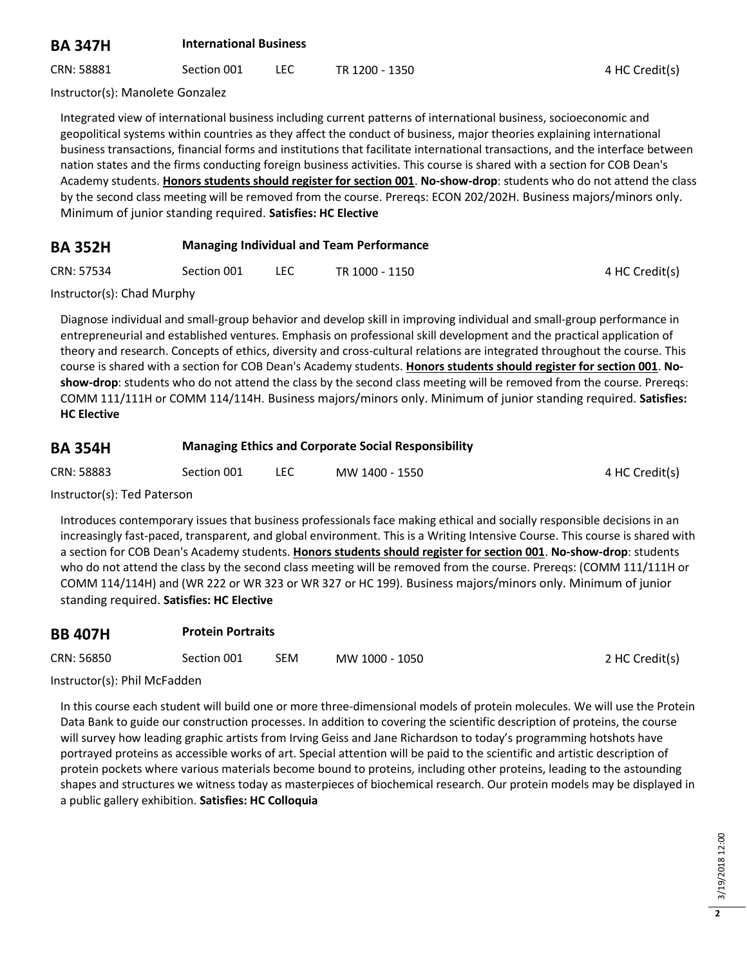### **BA 347H International Business**

CRN: 58881 Section 001 LEC TR 1200 - 1350 CRN: 58881 4 HC Credit(s)

Instructor(s): Manolete Gonzalez

Integrated view of international business including current patterns of international business, socioeconomic and geopolitical systems within countries as they affect the conduct of business, major theories explaining international business transactions, financial forms and institutions that facilitate international transactions, and the interface between nation states and the firms conducting foreign business activities. This course is shared with a section for COB Dean's Academy students. **Honors students should register for section 001**. **No-show-drop**: students who do not attend the class by the second class meeting will be removed from the course. Prereqs: ECON 202/202H. Business majors/minors only. Minimum of junior standing required. **Satisfies: HC Elective**

#### **BA 352H Managing Individual and Team Performance**

| CRN: 57534 | Section 001 | TR 1000 - 1150 | 4 HC Credit(s) |
|------------|-------------|----------------|----------------|
|            |             |                |                |

Instructor(s): Chad Murphy

Diagnose individual and small-group behavior and develop skill in improving individual and small-group performance in entrepreneurial and established ventures. Emphasis on professional skill development and the practical application of theory and research. Concepts of ethics, diversity and cross-cultural relations are integrated throughout the course. This course is shared with a section for COB Dean's Academy students. **Honors students should register for section 001**. **Noshow-drop**: students who do not attend the class by the second class meeting will be removed from the course. Prereqs: COMM 111/111H or COMM 114/114H. Business majors/minors only. Minimum of junior standing required. **Satisfies: HC Elective**

#### **BA 354H Managing Ethics and Corporate Social Responsibility**

| CRN: 58883 | Section 001 | MW 1400 - 1550 | 4 HC Credit(s) |
|------------|-------------|----------------|----------------|
|            |             |                |                |

Instructor(s): Ted Paterson

Introduces contemporary issues that business professionals face making ethical and socially responsible decisions in an increasingly fast-paced, transparent, and global environment. This is a Writing Intensive Course. This course is shared with a section for COB Dean's Academy students. **Honors students should register for section 001**. **No-show-drop**: students who do not attend the class by the second class meeting will be removed from the course. Prereqs: (COMM 111/111H or COMM 114/114H) and (WR 222 or WR 323 or WR 327 or HC 199). Business majors/minors only. Minimum of junior standing required. **Satisfies: HC Elective**

| <b>BB 407H</b> |             | <b>Protein Portraits</b> |                |                |  |
|----------------|-------------|--------------------------|----------------|----------------|--|
| CRN: 56850     | Section 001 | SEM                      | MW 1000 - 1050 | 2 HC Credit(s) |  |

#### Instructor(s): Phil McFadden

In this course each student will build one or more three-dimensional models of protein molecules. We will use the Protein Data Bank to guide our construction processes. In addition to covering the scientific description of proteins, the course will survey how leading graphic artists from Irving Geiss and Jane Richardson to today's programming hotshots have portrayed proteins as accessible works of art. Special attention will be paid to the scientific and artistic description of protein pockets where various materials become bound to proteins, including other proteins, leading to the astounding shapes and structures we witness today as masterpieces of biochemical research. Our protein models may be displayed in a public gallery exhibition. **Satisfies: HC Colloquia**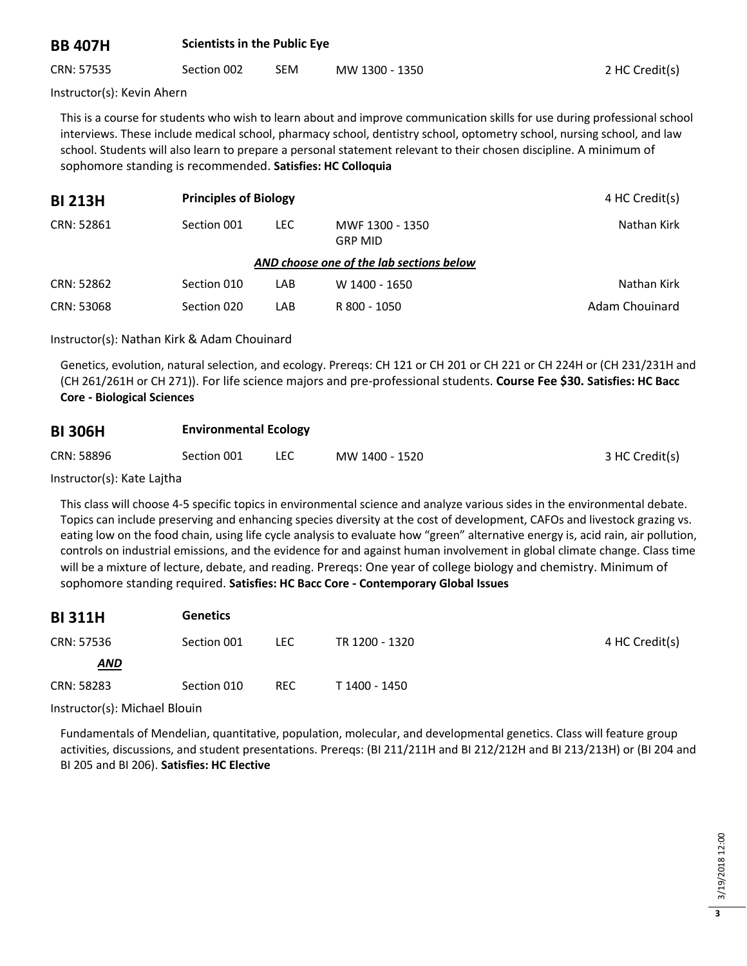#### **BB 407H Scientists in the Public Eye**

CRN: 57535 Section 002 SEM MW 1300 - 1350 2 HC Credit(s)

Instructor(s): Kevin Ahern

This is a course for students who wish to learn about and improve communication skills for use during professional school interviews. These include medical school, pharmacy school, dentistry school, optometry school, nursing school, and law school. Students will also learn to prepare a personal statement relevant to their chosen discipline. A minimum of sophomore standing is recommended. **Satisfies: HC Colloquia**

| <b>BI 213H</b>                           | <b>Principles of Biology</b> |            |                                   | 4 HC Credit(s) |  |  |
|------------------------------------------|------------------------------|------------|-----------------------------------|----------------|--|--|
| CRN: 52861                               | Section 001                  | <b>LEC</b> | MWF 1300 - 1350<br><b>GRP MID</b> | Nathan Kirk    |  |  |
| AND choose one of the lab sections below |                              |            |                                   |                |  |  |
| CRN: 52862                               | Section 010                  | LAB        | W 1400 - 1650                     | Nathan Kirk    |  |  |
| CRN: 53068                               | Section 020                  | LAB        | R 800 - 1050                      | Adam Chouinard |  |  |

Instructor(s): Nathan Kirk & Adam Chouinard

Genetics, evolution, natural selection, and ecology. Prereqs: CH 121 or CH 201 or CH 221 or CH 224H or (CH 231/231H and (CH 261/261H or CH 271)). For life science majors and pre-professional students. **Course Fee \$30. Satisfies: HC Bacc Core - Biological Sciences**

| <b>BI 306H</b><br>CRN: 58896 | <b>Environmental Ecology</b> |                |                |  |  |
|------------------------------|------------------------------|----------------|----------------|--|--|
|                              | Section 001                  | MW 1400 - 1520 | 3 HC Credit(s) |  |  |

Instructor(s): Kate Lajtha

This class will choose 4-5 specific topics in environmental science and analyze various sides in the environmental debate. Topics can include preserving and enhancing species diversity at the cost of development, CAFOs and livestock grazing vs. eating low on the food chain, using life cycle analysis to evaluate how "green" alternative energy is, acid rain, air pollution, controls on industrial emissions, and the evidence for and against human involvement in global climate change. Class time will be a mixture of lecture, debate, and reading. Prereqs: One year of college biology and chemistry. Minimum of sophomore standing required. **Satisfies: HC Bacc Core - Contemporary Global Issues**

| <b>BI311H</b> | <b>Genetics</b> |            |                |                |
|---------------|-----------------|------------|----------------|----------------|
| CRN: 57536    | Section 001     | LEC.       | TR 1200 - 1320 | 4 HC Credit(s) |
| <b>AND</b>    |                 |            |                |                |
| CRN: 58283    | Section 010     | <b>REC</b> | T 1400 - 1450  |                |

Instructor(s): Michael Blouin

Fundamentals of Mendelian, quantitative, population, molecular, and developmental genetics. Class will feature group activities, discussions, and student presentations. Prereqs: (BI 211/211H and BI 212/212H and BI 213/213H) or (BI 204 and BI 205 and BI 206). **Satisfies: HC Elective**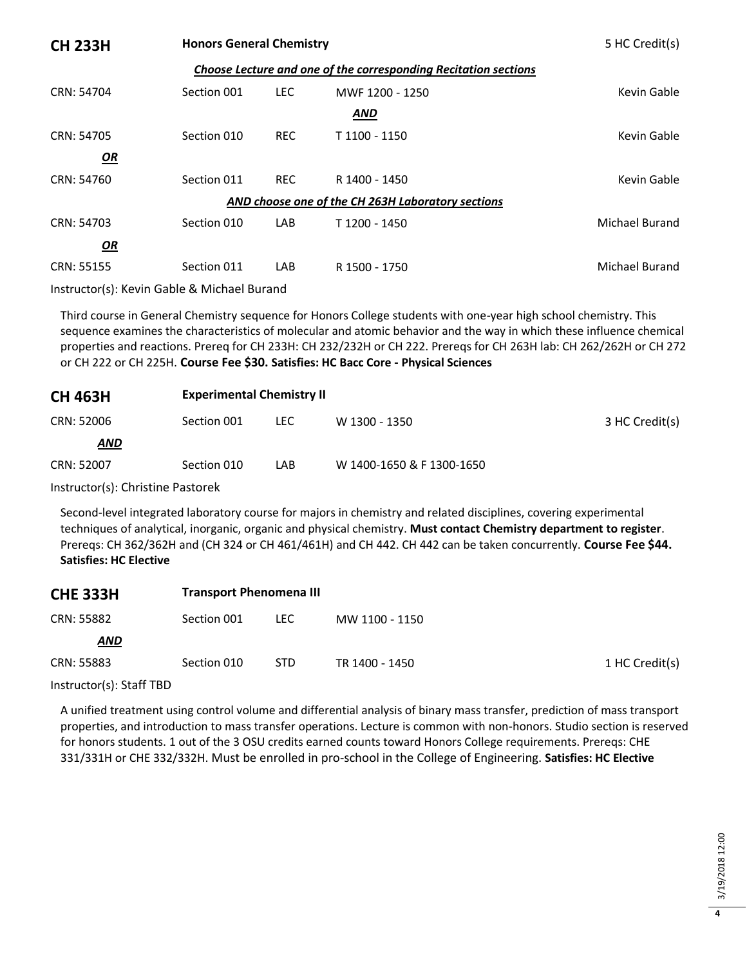| <b>CH 233H</b>                                    | <b>Honors General Chemistry</b>                                 |            |                 | 5 HC Credit(s) |  |  |  |
|---------------------------------------------------|-----------------------------------------------------------------|------------|-----------------|----------------|--|--|--|
|                                                   | Choose Lecture and one of the corresponding Recitation sections |            |                 |                |  |  |  |
| CRN: 54704                                        | Section 001                                                     | <b>LEC</b> | MWF 1200 - 1250 | Kevin Gable    |  |  |  |
|                                                   |                                                                 |            | <b>AND</b>      |                |  |  |  |
| CRN: 54705                                        | Section 010                                                     | <b>REC</b> | T 1100 - 1150   | Kevin Gable    |  |  |  |
| <u>OR</u>                                         |                                                                 |            |                 |                |  |  |  |
| CRN: 54760                                        | Section 011                                                     | <b>REC</b> | R 1400 - 1450   | Kevin Gable    |  |  |  |
| AND choose one of the CH 263H Laboratory sections |                                                                 |            |                 |                |  |  |  |
| CRN: 54703                                        | Section 010                                                     | LAB        | T 1200 - 1450   | Michael Burand |  |  |  |
| OR                                                |                                                                 |            |                 |                |  |  |  |
| CRN: 55155                                        | Section 011                                                     | LAB        | R 1500 - 1750   | Michael Burand |  |  |  |

Instructor(s): Kevin Gable & Michael Burand

Third course in General Chemistry sequence for Honors College students with one-year high school chemistry. This sequence examines the characteristics of molecular and atomic behavior and the way in which these influence chemical properties and reactions. Prereq for CH 233H: CH 232/232H or CH 222. Prereqs for CH 263H lab: CH 262/262H or CH 272 or CH 222 or CH 225H. **Course Fee \$30. Satisfies: HC Bacc Core - Physical Sciences**

| <b>CH 463H</b> | <b>Experimental Chemistry II</b> |      |                           |                |
|----------------|----------------------------------|------|---------------------------|----------------|
| CRN: 52006     | Section 001                      | LEC. | W 1300 - 1350             | 3 HC Credit(s) |
| <b>AND</b>     |                                  |      |                           |                |
| CRN: 52007     | Section 010                      | LAB. | W 1400-1650 & F 1300-1650 |                |

Instructor(s): Christine Pastorek

Second-level integrated laboratory course for majors in chemistry and related disciplines, covering experimental techniques of analytical, inorganic, organic and physical chemistry. **Must contact Chemistry department to register**. Prereqs: CH 362/362H and (CH 324 or CH 461/461H) and CH 442. CH 442 can be taken concurrently. **Course Fee \$44. Satisfies: HC Elective**

| <b>CHE 333H</b> | <b>Transport Phenomena III</b> |            |                |                |
|-----------------|--------------------------------|------------|----------------|----------------|
| CRN: 55882      | Section 001                    | LEC.       | MW 1100 - 1150 |                |
| AND             |                                |            |                |                |
| CRN: 55883      | Section 010                    | <b>STD</b> | TR 1400 - 1450 | 1 HC Credit(s) |

Instructor(s): Staff TBD

A unified treatment using control volume and differential analysis of binary mass transfer, prediction of mass transport properties, and introduction to mass transfer operations. Lecture is common with non-honors. Studio section is reserved for honors students. 1 out of the 3 OSU credits earned counts toward Honors College requirements. Prereqs: CHE 331/331H or CHE 332/332H. Must be enrolled in pro-school in the College of Engineering. **Satisfies: HC Elective**

**4**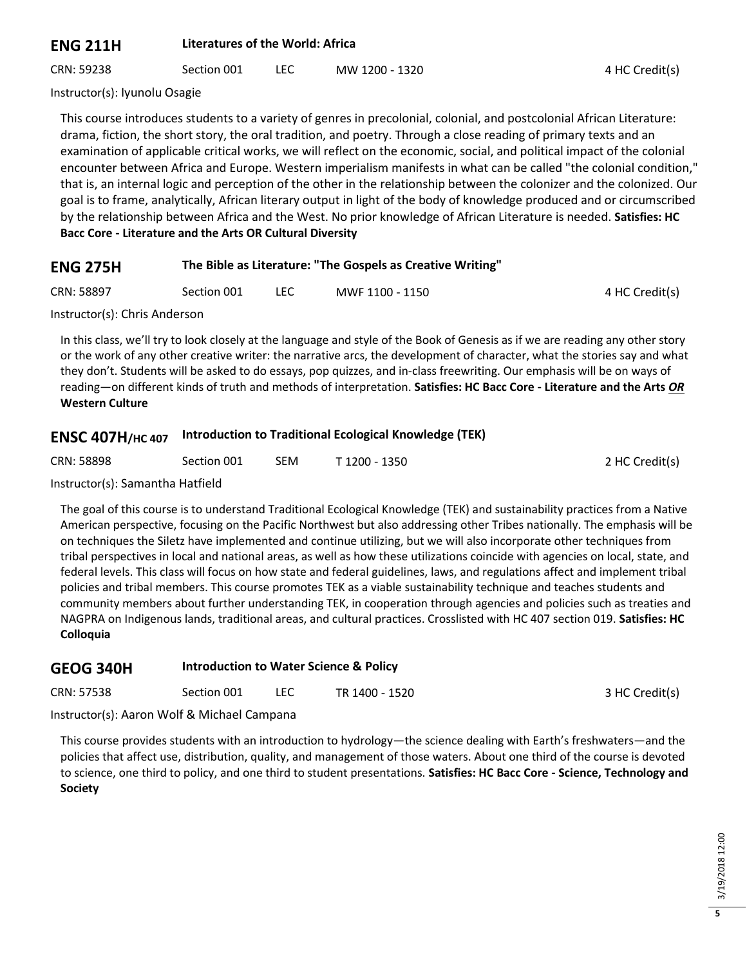#### **ENG 211H Literatures of the World: Africa**

CRN: 59238 Section 001 LEC MW 1200 - 1320 4 HC Credit(s)

Instructor(s): Iyunolu Osagie

This course introduces students to a variety of genres in precolonial, colonial, and postcolonial African Literature: drama, fiction, the short story, the oral tradition, and poetry. Through a close reading of primary texts and an examination of applicable critical works, we will reflect on the economic, social, and political impact of the colonial encounter between Africa and Europe. Western imperialism manifests in what can be called "the colonial condition," that is, an internal logic and perception of the other in the relationship between the colonizer and the colonized. Our goal is to frame, analytically, African literary output in light of the body of knowledge produced and or circumscribed by the relationship between Africa and the West. No prior knowledge of African Literature is needed. **Satisfies: HC Bacc Core - Literature and the Arts OR Cultural Diversity**

#### **ENG 275H The Bible as Literature: "The Gospels as Creative Writing"**

CRN: 58897 Section 001 LEC MWF 1100 - 1150 4 HC Credit(s)

Instructor(s): Chris Anderson

In this class, we'll try to look closely at the language and style of the Book of Genesis as if we are reading any other story or the work of any other creative writer: the narrative arcs, the development of character, what the stories say and what they don't. Students will be asked to do essays, pop quizzes, and in-class freewriting. Our emphasis will be on ways of reading—on different kinds of truth and methods of interpretation. **Satisfies: HC Bacc Core - Literature and the Arts** *OR* **Western Culture**

## **ENSC 407H/HC 407 Introduction to Traditional Ecological Knowledge (TEK)**

| CRN: 58898                         | Section 001 | SEM | T 1200 - 1350 | 2 HC Credit(s) |
|------------------------------------|-------------|-----|---------------|----------------|
| $\sim$ $\sim$ $\sim$ $\sim$ $\sim$ |             |     |               |                |

Instructor(s): Samantha Hatfield

The goal of this course is to understand Traditional Ecological Knowledge (TEK) and sustainability practices from a Native American perspective, focusing on the Pacific Northwest but also addressing other Tribes nationally. The emphasis will be on techniques the Siletz have implemented and continue utilizing, but we will also incorporate other techniques from tribal perspectives in local and national areas, as well as how these utilizations coincide with agencies on local, state, and federal levels. This class will focus on how state and federal guidelines, laws, and regulations affect and implement tribal policies and tribal members. This course promotes TEK as a viable sustainability technique and teaches students and community members about further understanding TEK, in cooperation through agencies and policies such as treaties and NAGPRA on Indigenous lands, traditional areas, and cultural practices. Crosslisted with HC 407 section 019. **Satisfies: HC Colloquia**

| GEOG 340H  | <b>Introduction to Water Science &amp; Policy</b> |            |                |                |  |
|------------|---------------------------------------------------|------------|----------------|----------------|--|
| CRN: 57538 | Section 001                                       | <b>LEC</b> | TR 1400 - 1520 | 3 HC Credit(s) |  |

Instructor(s): Aaron Wolf & Michael Campana

This course provides students with an introduction to hydrology—the science dealing with Earth's freshwaters—and the policies that affect use, distribution, quality, and management of those waters. About one third of the course is devoted to science, one third to policy, and one third to student presentations. **Satisfies: HC Bacc Core - Science, Technology and Society**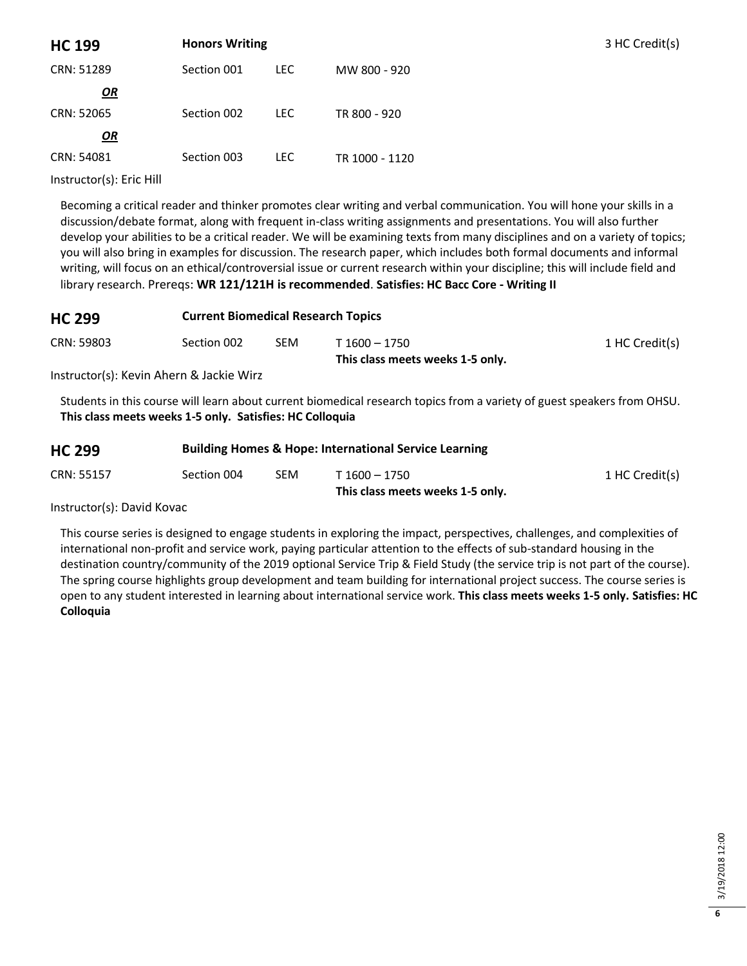| <b>HC 199</b> | <b>Honors Writing</b> |            |                | 3 HC Credit(s) |
|---------------|-----------------------|------------|----------------|----------------|
| CRN: 51289    | Section 001           | <b>LEC</b> | MW 800 - 920   |                |
| OR            |                       |            |                |                |
| CRN: 52065    | Section 002           | LEC.       | TR 800 - 920   |                |
| OR            |                       |            |                |                |
| CRN: 54081    | Section 003           | <b>LEC</b> | TR 1000 - 1120 |                |

Instructor(s): Eric Hill

Becoming a critical reader and thinker promotes clear writing and verbal communication. You will hone your skills in a discussion/debate format, along with frequent in-class writing assignments and presentations. You will also further develop your abilities to be a critical reader. We will be examining texts from many disciplines and on a variety of topics; you will also bring in examples for discussion. The research paper, which includes both formal documents and informal writing, will focus on an ethical/controversial issue or current research within your discipline; this will include field and library research. Prereqs: **WR 121/121H is recommended**. **Satisfies: HC Bacc Core - Writing II**

| <b>HC 299</b> | <b>Current Biomedical Research Topics</b> |     |                                  |                |  |
|---------------|-------------------------------------------|-----|----------------------------------|----------------|--|
| CRN: 59803    | Section 002                               | SEM | T 1600 – 1750                    | 1 HC Credit(s) |  |
| .             |                                           |     | This class meets weeks 1-5 only. |                |  |

Instructor(s): Kevin Ahern & Jackie Wirz

Students in this course will learn about current biomedical research topics from a variety of guest speakers from OHSU. **This class meets weeks 1-5 only. Satisfies: HC Colloquia**

| <b>HC 299</b> | <b>Building Homes &amp; Hope: International Service Learning</b> |            |                                                   |                |  |
|---------------|------------------------------------------------------------------|------------|---------------------------------------------------|----------------|--|
| CRN: 55157    | Section 004                                                      | <b>SEM</b> | T 1600 – 1750<br>This class meets weeks 1-5 only. | 1 HC Credit(s) |  |

Instructor(s): David Kovac

This course series is designed to engage students in exploring the impact, perspectives, challenges, and complexities of international non-profit and service work, paying particular attention to the effects of sub-standard housing in the destination country/community of the 2019 optional Service Trip & Field Study (the service trip is not part of the course). The spring course highlights group development and team building for international project success. The course series is open to any student interested in learning about international service work. **This class meets weeks 1-5 only. Satisfies: HC Colloquia**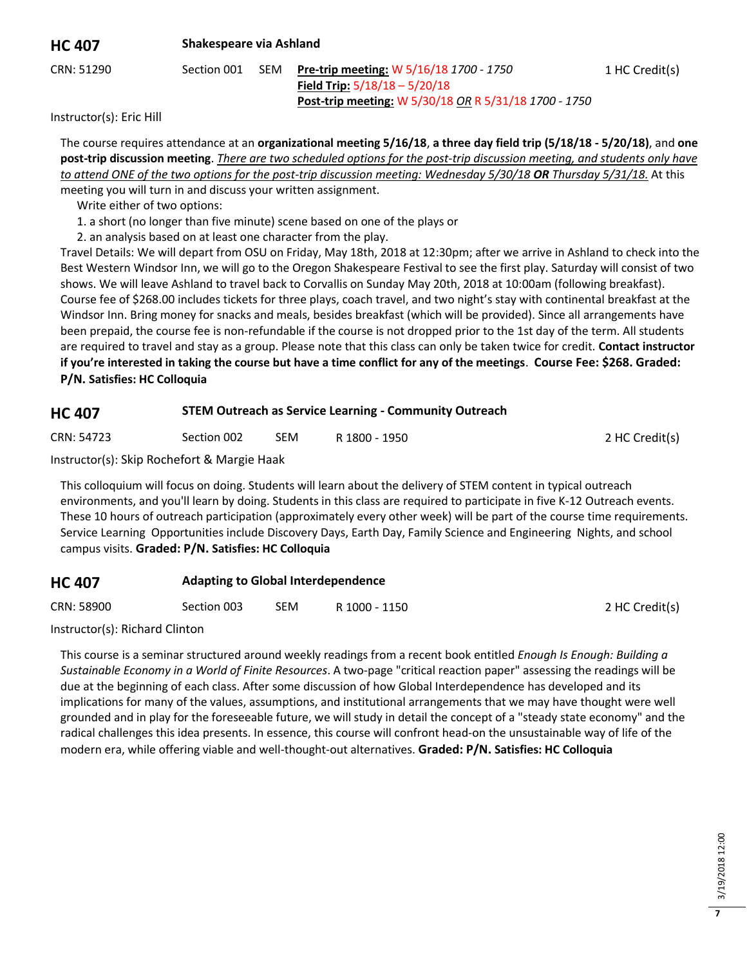#### **HC 407 Shakespeare via Ashland**

1 HC Credit(s)

2 HC Credit(s)

CRN: 51290 Section 001 SEM **Pre-trip meeting:** W 5/16/18 *1700 - 1750* **Field Trip:** 5/18/18 – 5/20/18 **Post-trip meeting:** W 5/30/18 *OR* R 5/31/18 *1700 - 1750*

Instructor(s): Eric Hill

The course requires attendance at an **organizational meeting 5/16/18**, **a three day field trip (5/18/18 - 5/20/18)**, and **one post-trip discussion meeting**. *There are two scheduled options for the post-trip discussion meeting, and students only have to attend ONE of the two options for the post-trip discussion meeting: Wednesday 5/30/18 OR Thursday 5/31/18.* At this meeting you will turn in and discuss your written assignment.

Write either of two options:

1. a short (no longer than five minute) scene based on one of the plays or

2. an analysis based on at least one character from the play.

Travel Details: We will depart from OSU on Friday, May 18th, 2018 at 12:30pm; after we arrive in Ashland to check into the Best Western Windsor Inn, we will go to the Oregon Shakespeare Festival to see the first play. Saturday will consist of two shows. We will leave Ashland to travel back to Corvallis on Sunday May 20th, 2018 at 10:00am (following breakfast). Course fee of \$268.00 includes tickets for three plays, coach travel, and two night's stay with continental breakfast at the Windsor Inn. Bring money for snacks and meals, besides breakfast (which will be provided). Since all arrangements have been prepaid, the course fee is non-refundable if the course is not dropped prior to the 1st day of the term. All students are required to travel and stay as a group. Please note that this class can only be taken twice for credit. **Contact instructor if you're interested in taking the course but have a time conflict for any of the meetings**. **Course Fee: \$268. Graded: P/N. Satisfies: HC Colloquia**

## **HC 407 STEM Outreach as Service Learning - Community Outreach**

CRN: 54723 Section 002 SEM R 1800 - 1950 2 HC Credit(s)

Instructor(s): Skip Rochefort & Margie Haak

This colloquium will focus on doing. Students will learn about the delivery of STEM content in typical outreach environments, and you'll learn by doing. Students in this class are required to participate in five K-12 Outreach events. These 10 hours of outreach participation (approximately every other week) will be part of the course time requirements. Service Learning Opportunities include Discovery Days, Earth Day, Family Science and Engineering Nights, and school campus visits. **Graded: P/N. Satisfies: HC Colloquia**

## **HC 407 Adapting to Global Interdependence**

| CRN: 58900 | Section 003 | <b>SEM</b> | R 1000 - 1150 |  |
|------------|-------------|------------|---------------|--|
|------------|-------------|------------|---------------|--|

Instructor(s): Richard Clinton

This course is a seminar structured around weekly readings from a recent book entitled *Enough Is Enough: Building a Sustainable Economy in a World of Finite Resources*. A two-page "critical reaction paper" assessing the readings will be due at the beginning of each class. After some discussion of how Global Interdependence has developed and its implications for many of the values, assumptions, and institutional arrangements that we may have thought were well grounded and in play for the foreseeable future, we will study in detail the concept of a "steady state economy" and the radical challenges this idea presents. In essence, this course will confront head-on the unsustainable way of life of the modern era, while offering viable and well-thought-out alternatives. **Graded: P/N. Satisfies: HC Colloquia**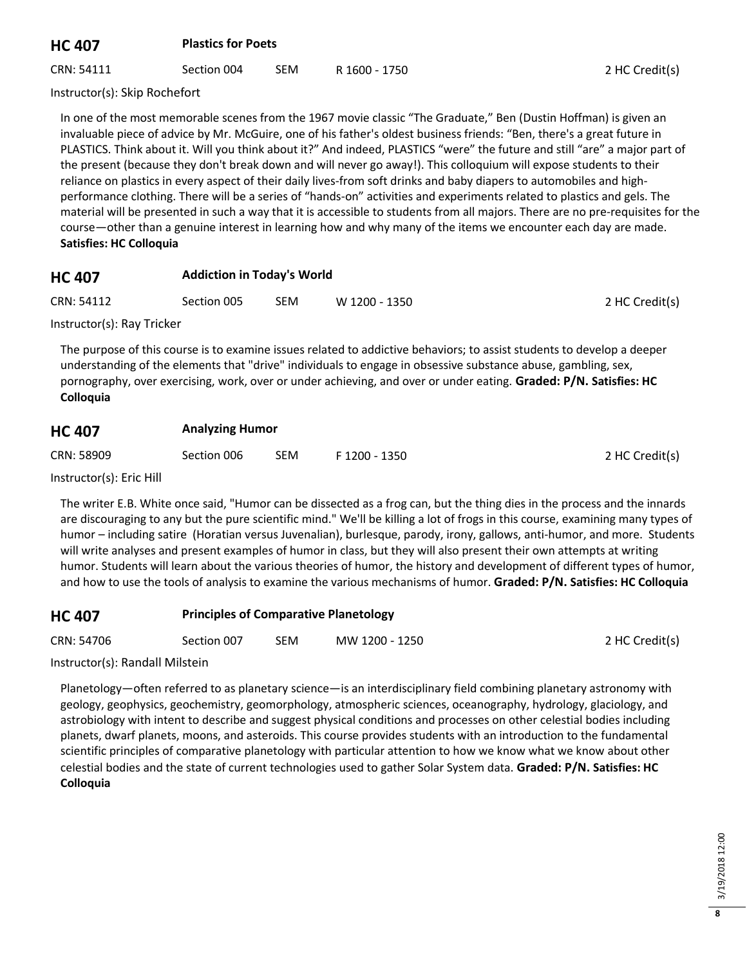## **HC 407 Plastics for Poets**

CRN: 54111 Section 004 SEM R 1600 - 1750 2 HC Credit(s)

Instructor(s): Skip Rochefort

In one of the most memorable scenes from the 1967 movie classic "The Graduate," Ben (Dustin Hoffman) is given an invaluable piece of advice by Mr. McGuire, one of his father's oldest business friends: "Ben, there's a great future in PLASTICS. Think about it. Will you think about it?" And indeed, PLASTICS "were" the future and still "are" a major part of the present (because they don't break down and will never go away!). This colloquium will expose students to their reliance on plastics in every aspect of their daily lives-from soft drinks and baby diapers to automobiles and highperformance clothing. There will be a series of "hands-on" activities and experiments related to plastics and gels. The material will be presented in such a way that it is accessible to students from all majors. There are no pre-requisites for the course—other than a genuine interest in learning how and why many of the items we encounter each day are made. **Satisfies: HC Colloquia**

#### **HC 407 Addiction in Today's World**

| CRN: 54112                 | Section 005 | SEM | W 1200 - 1350 | 2 HC Credit(s) |
|----------------------------|-------------|-----|---------------|----------------|
| Instructor(s): Dow Trickor |             |     |               |                |

Instructor(s): Ray Tricker

The purpose of this course is to examine issues related to addictive behaviors; to assist students to develop a deeper understanding of the elements that "drive" individuals to engage in obsessive substance abuse, gambling, sex, pornography, over exercising, work, over or under achieving, and over or under eating. **Graded: P/N. Satisfies: HC Colloquia**

## **HC 407 Analyzing Humor**

| CRN: 58909<br><b>SEM</b><br>Section 006 | F 1200 - 1350 | 2 HC Credit(s) |
|-----------------------------------------|---------------|----------------|
|-----------------------------------------|---------------|----------------|

Instructor(s): Eric Hill

The writer E.B. White once said, "Humor can be dissected as a frog can, but the thing dies in the process and the innards are discouraging to any but the pure scientific mind." We'll be killing a lot of frogs in this course, examining many types of humor – including satire (Horatian versus Juvenalian), burlesque, parody, irony, gallows, anti-humor, and more. Students will write analyses and present examples of humor in class, but they will also present their own attempts at writing humor. Students will learn about the various theories of humor, the history and development of different types of humor, and how to use the tools of analysis to examine the various mechanisms of humor. **Graded: P/N. Satisfies: HC Colloquia**

## **HC 407 Principles of Comparative Planetology**

| CRN: 54706<br>Section 007<br>SEM | MW 1200 - 1250 | 2 HC Credit(s) |  |
|----------------------------------|----------------|----------------|--|
|----------------------------------|----------------|----------------|--|

Instructor(s): Randall Milstein

Planetology—often referred to as planetary science—is an interdisciplinary field combining planetary astronomy with geology, geophysics, geochemistry, geomorphology, atmospheric sciences, oceanography, hydrology, glaciology, and astrobiology with intent to describe and suggest physical conditions and processes on other celestial bodies including planets, dwarf planets, moons, and asteroids. This course provides students with an introduction to the fundamental scientific principles of comparative planetology with particular attention to how we know what we know about other celestial bodies and the state of current technologies used to gather Solar System data. **Graded: P/N. Satisfies: HC Colloquia**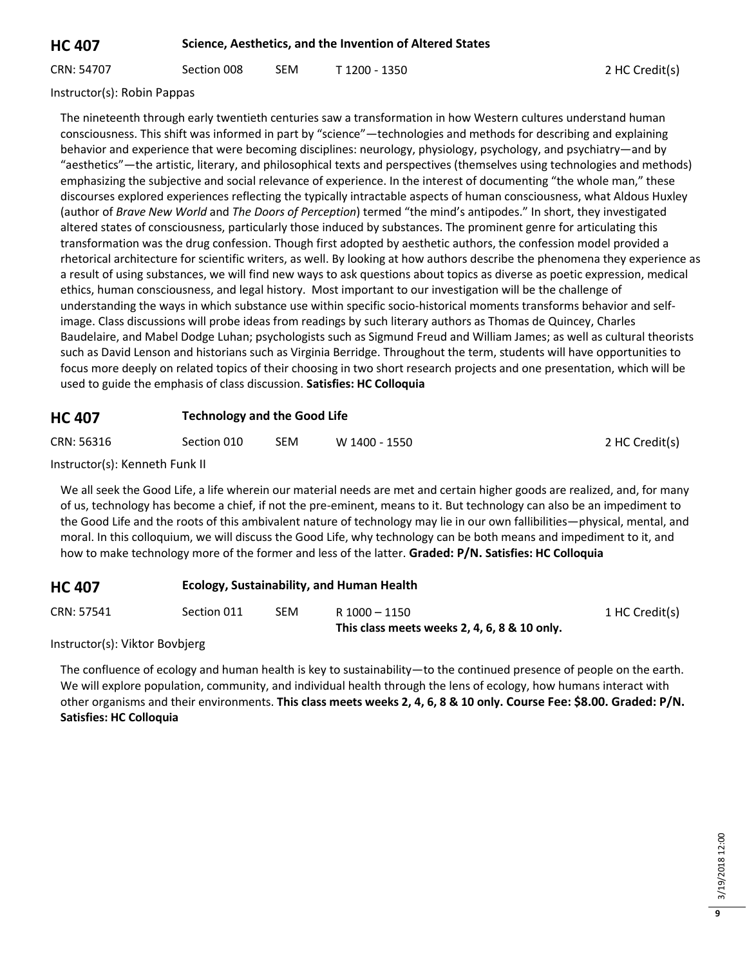## **HC 407 Science, Aesthetics, and the Invention of Altered States**

CRN: 54707 Section 008 SEM T 1200 - 1350 2 HC Credit(s)

Instructor(s): Robin Pappas

The nineteenth through early twentieth centuries saw a transformation in how Western cultures understand human consciousness. This shift was informed in part by "science"—technologies and methods for describing and explaining behavior and experience that were becoming disciplines: neurology, physiology, psychology, and psychiatry—and by "aesthetics"—the artistic, literary, and philosophical texts and perspectives (themselves using technologies and methods) emphasizing the subjective and social relevance of experience. In the interest of documenting "the whole man," these discourses explored experiences reflecting the typically intractable aspects of human consciousness, what Aldous Huxley (author of *Brave New World* and *The Doors of Perception*) termed "the mind's antipodes." In short, they investigated altered states of consciousness, particularly those induced by substances. The prominent genre for articulating this transformation was the drug confession. Though first adopted by aesthetic authors, the confession model provided a rhetorical architecture for scientific writers, as well. By looking at how authors describe the phenomena they experience as a result of using substances, we will find new ways to ask questions about topics as diverse as poetic expression, medical ethics, human consciousness, and legal history. Most important to our investigation will be the challenge of understanding the ways in which substance use within specific socio-historical moments transforms behavior and selfimage. Class discussions will probe ideas from readings by such literary authors as Thomas de Quincey, Charles Baudelaire, and Mabel Dodge Luhan; psychologists such as Sigmund Freud and William James; as well as cultural theorists such as David Lenson and historians such as Virginia Berridge. Throughout the term, students will have opportunities to focus more deeply on related topics of their choosing in two short research projects and one presentation, which will be used to guide the emphasis of class discussion. **Satisfies: HC Colloquia**

#### **HC 407 Technology and the Good Life**

| CRN: 56316<br>Section 010<br><b>SEM</b><br>W 1400 - 1550 | 2 HC Credit(s) |
|----------------------------------------------------------|----------------|
|----------------------------------------------------------|----------------|

Instructor(s): Kenneth Funk II

We all seek the Good Life, a life wherein our material needs are met and certain higher goods are realized, and, for many of us, technology has become a chief, if not the pre-eminent, means to it. But technology can also be an impediment to the Good Life and the roots of this ambivalent nature of technology may lie in our own fallibilities—physical, mental, and moral. In this colloquium, we will discuss the Good Life, why technology can be both means and impediment to it, and how to make technology more of the former and less of the latter. **Graded: P/N. Satisfies: HC Colloquia**

## **HC 407 Ecology, Sustainability, and Human Health**

| CRN: 57541 | Section 011 | <b>SEM</b> | R 1000 - 1150                                | 1 HC Credit(s) |
|------------|-------------|------------|----------------------------------------------|----------------|
|            |             |            | This class meets weeks 2, 4, 6, 8 & 10 only. |                |

Instructor(s): Viktor Bovbjerg

The confluence of ecology and human health is key to sustainability—to the continued presence of people on the earth. We will explore population, community, and individual health through the lens of ecology, how humans interact with other organisms and their environments. **This class meets weeks 2, 4, 6, 8 & 10 only. Course Fee: \$8.00. Graded: P/N. Satisfies: HC Colloquia**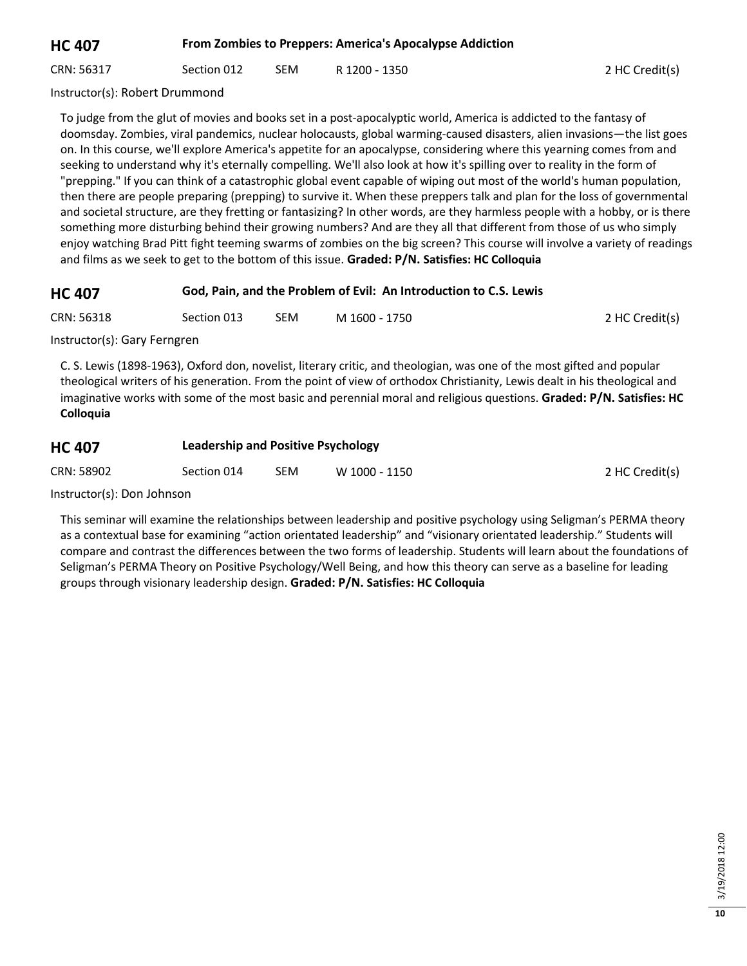**HC 407 From Zombies to Preppers: America's Apocalypse Addiction**

CRN: 56317 Section 012 SEM R 1200 - 1350 SEN 2 HC Credit(s)

Instructor(s): Robert Drummond

To judge from the glut of movies and books set in a post-apocalyptic world, America is addicted to the fantasy of doomsday. Zombies, viral pandemics, nuclear holocausts, global warming-caused disasters, alien invasions—the list goes on. In this course, we'll explore America's appetite for an apocalypse, considering where this yearning comes from and seeking to understand why it's eternally compelling. We'll also look at how it's spilling over to reality in the form of "prepping." If you can think of a catastrophic global event capable of wiping out most of the world's human population, then there are people preparing (prepping) to survive it. When these preppers talk and plan for the loss of governmental and societal structure, are they fretting or fantasizing? In other words, are they harmless people with a hobby, or is there something more disturbing behind their growing numbers? And are they all that different from those of us who simply enjoy watching Brad Pitt fight teeming swarms of zombies on the big screen? This course will involve a variety of readings and films as we seek to get to the bottom of this issue. **Graded: P/N. Satisfies: HC Colloquia**

## **HC 407 God, Pain, and the Problem of Evil: An Introduction to C.S. Lewis**

CRN: 56318 Section 013 SEM M 1600 - 1750 2 HC Credit(s)

Instructor(s): Gary Ferngren

C. S. Lewis (1898-1963), Oxford don, novelist, literary critic, and theologian, was one of the most gifted and popular theological writers of his generation. From the point of view of orthodox Christianity, Lewis dealt in his theological and imaginative works with some of the most basic and perennial moral and religious questions. **Graded: P/N. Satisfies: HC Colloquia**

## **HC 407 Leadership and Positive Psychology**

| CRN: 58902<br><b>SEM</b><br>Section 014 | W 1000 - 1150 | 2 HC Credit(s) |
|-----------------------------------------|---------------|----------------|
|-----------------------------------------|---------------|----------------|

Instructor(s): Don Johnson

This seminar will examine the relationships between leadership and positive psychology using Seligman's PERMA theory as a contextual base for examining "action orientated leadership" and "visionary orientated leadership." Students will compare and contrast the differences between the two forms of leadership. Students will learn about the foundations of Seligman's PERMA Theory on Positive Psychology/Well Being, and how this theory can serve as a baseline for leading groups through visionary leadership design. **Graded: P/N. Satisfies: HC Colloquia**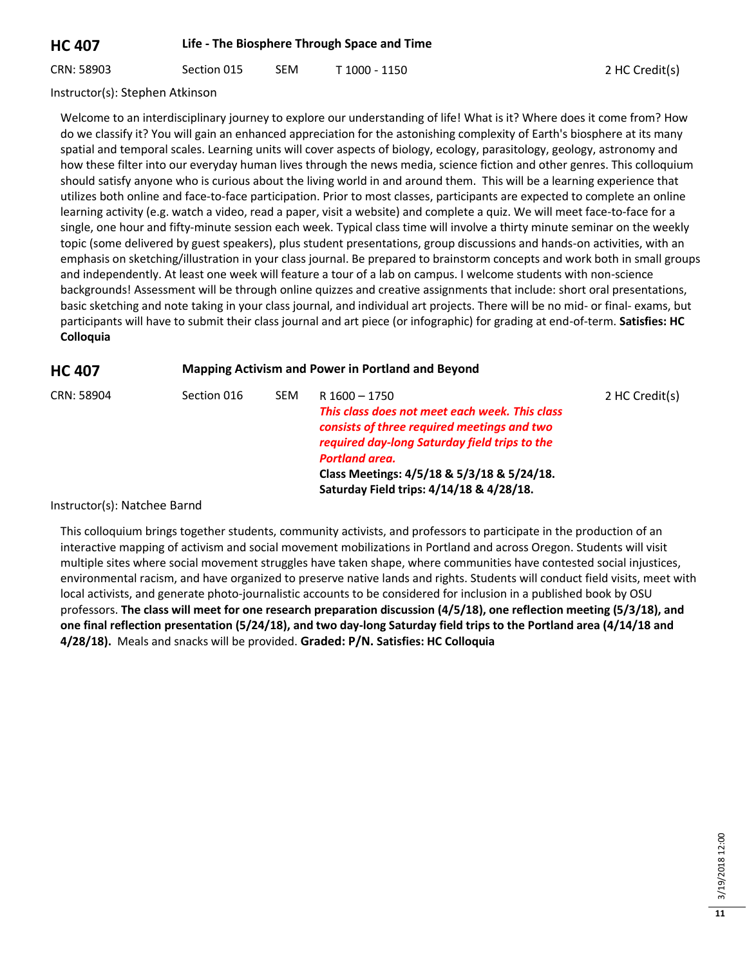**HC 407 Life - The Biosphere Through Space and Time**

CRN: 58903 Section 015 SEM T 1000 - 1150 2 HC Credit(s)

Instructor(s): Stephen Atkinson

Welcome to an interdisciplinary journey to explore our understanding of life! What is it? Where does it come from? How do we classify it? You will gain an enhanced appreciation for the astonishing complexity of Earth's biosphere at its many spatial and temporal scales. Learning units will cover aspects of biology, ecology, parasitology, geology, astronomy and how these filter into our everyday human lives through the news media, science fiction and other genres. This colloquium should satisfy anyone who is curious about the living world in and around them. This will be a learning experience that utilizes both online and face-to-face participation. Prior to most classes, participants are expected to complete an online learning activity (e.g. watch a video, read a paper, visit a website) and complete a quiz. We will meet face-to-face for a single, one hour and fifty-minute session each week. Typical class time will involve a thirty minute seminar on the weekly topic (some delivered by guest speakers), plus student presentations, group discussions and hands-on activities, with an emphasis on sketching/illustration in your class journal. Be prepared to brainstorm concepts and work both in small groups and independently. At least one week will feature a tour of a lab on campus. I welcome students with non-science backgrounds! Assessment will be through online quizzes and creative assignments that include: short oral presentations, basic sketching and note taking in your class journal, and individual art projects. There will be no mid- or final- exams, but participants will have to submit their class journal and art piece (or infographic) for grading at end-of-term. **Satisfies: HC Colloquia**

## **HC 407 Mapping Activism and Power in Portland and Beyond**

| CRN: 58904 | Section 016 | SEM. | R 1600 - 1750                                                                                | 2 HC Credit(s) |
|------------|-------------|------|----------------------------------------------------------------------------------------------|----------------|
|            |             |      | This class does not meet each week. This class                                               |                |
|            |             |      | consists of three required meetings and two<br>required day-long Saturday field trips to the |                |
|            |             |      | <b>Portland area.</b>                                                                        |                |
|            |             |      | Class Meetings: 4/5/18 & 5/3/18 & 5/24/18.                                                   |                |
|            |             |      | Saturday Field trips: 4/14/18 & 4/28/18.                                                     |                |

Instructor(s): Natchee Barnd

This colloquium brings together students, community activists, and professors to participate in the production of an interactive mapping of activism and social movement mobilizations in Portland and across Oregon. Students will visit multiple sites where social movement struggles have taken shape, where communities have contested social injustices, environmental racism, and have organized to preserve native lands and rights. Students will conduct field visits, meet with local activists, and generate photo-journalistic accounts to be considered for inclusion in a published book by OSU professors. **The class will meet for one research preparation discussion (4/5/18), one reflection meeting (5/3/18), and one final reflection presentation (5/24/18), and two day-long Saturday field trips to the Portland area (4/14/18 and 4/28/18).** Meals and snacks will be provided. **Graded: P/N. Satisfies: HC Colloquia**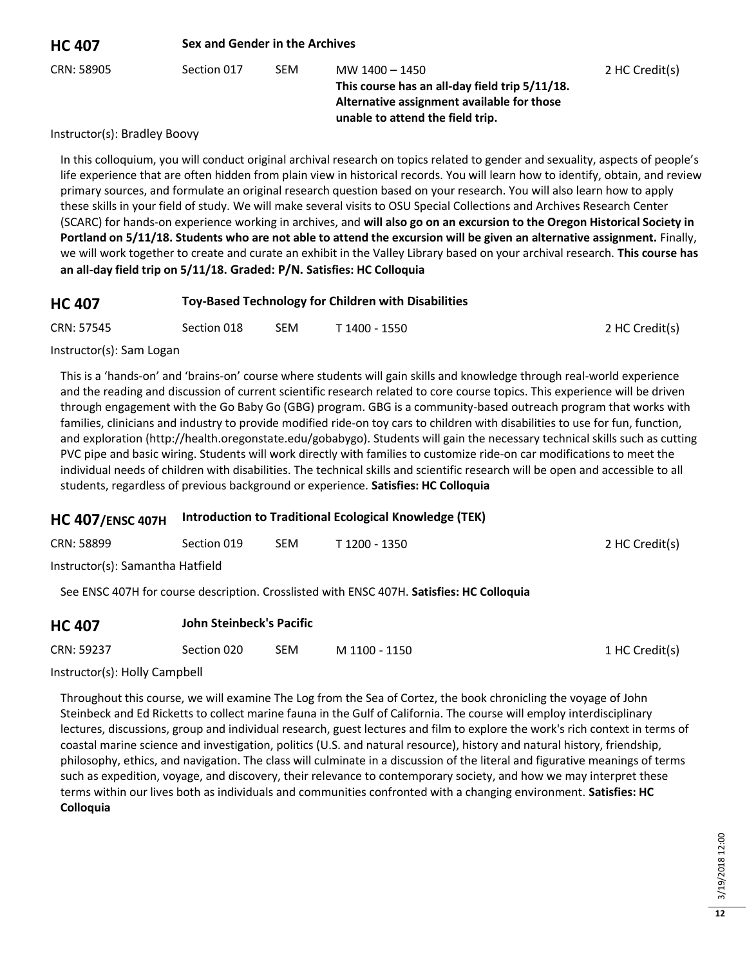| <b>HC 407</b> | Sex and Gender in the Archives |            |                                                                                                                                                    |                |  |  |
|---------------|--------------------------------|------------|----------------------------------------------------------------------------------------------------------------------------------------------------|----------------|--|--|
| CRN: 58905    | Section 017                    | <b>SEM</b> | MW 1400 - 1450<br>This course has an all-day field trip 5/11/18.<br>Alternative assignment available for those<br>unable to attend the field trip. | 2 HC Credit(s) |  |  |

Instructor(s): Bradley Boovy

In this colloquium, you will conduct original archival research on topics related to gender and sexuality, aspects of people's life experience that are often hidden from plain view in historical records. You will learn how to identify, obtain, and review primary sources, and formulate an original research question based on your research. You will also learn how to apply these skills in your field of study. We will make several visits to OSU Special Collections and Archives Research Center (SCARC) for hands-on experience working in archives, and **will also go on an excursion to the Oregon Historical Society in Portland on 5/11/18. Students who are not able to attend the excursion will be given an alternative assignment.** Finally, we will work together to create and curate an exhibit in the Valley Library based on your archival research. **This course has an all-day field trip on 5/11/18. Graded: P/N. Satisfies: HC Colloquia**

| <b>HC 407</b>               | Toy-Based Technology for Children with Disabilities |     |               |                |  |
|-----------------------------|-----------------------------------------------------|-----|---------------|----------------|--|
| CRN: 57545                  | Section 018                                         | SEM | T 1400 - 1550 | 2 HC Credit(s) |  |
| Instruction (a), Come Locom |                                                     |     |               |                |  |

Instructor(s): Sam Logan

This is a 'hands-on' and 'brains-on' course where students will gain skills and knowledge through real-world experience and the reading and discussion of current scientific research related to core course topics. This experience will be driven through engagement with the Go Baby Go (GBG) program. GBG is a community-based outreach program that works with families, clinicians and industry to provide modified ride-on toy cars to children with disabilities to use for fun, function, and exploration (http://health.oregonstate.edu/gobabygo). Students will gain the necessary technical skills such as cutting PVC pipe and basic wiring. Students will work directly with families to customize ride-on car modifications to meet the individual needs of children with disabilities. The technical skills and scientific research will be open and accessible to all students, regardless of previous background or experience. **Satisfies: HC Colloquia**

## **HC 407/ENSC 407H Introduction to Traditional Ecological Knowledge (TEK)**

| CRN: 58899                       | Section 019 | <b>SEM</b> | T 1200 - 1350 | 2 HC Credit(s) |
|----------------------------------|-------------|------------|---------------|----------------|
| Instructor(s): Samantha Hatfield |             |            |               |                |

See ENSC 407H for course description. Crosslisted with ENSC 407H. **Satisfies: HC Colloquia**

| <b>HC 407</b> | John Steinbeck's Pacific |     |               |                |
|---------------|--------------------------|-----|---------------|----------------|
| CRN: 59237    | Section 020              | SEM | M 1100 - 1150 | 1 HC Credit(s) |

Instructor(s): Holly Campbell

Throughout this course, we will examine The Log from the Sea of Cortez, the book chronicling the voyage of John Steinbeck and Ed Ricketts to collect marine fauna in the Gulf of California. The course will employ interdisciplinary lectures, discussions, group and individual research, guest lectures and film to explore the work's rich context in terms of coastal marine science and investigation, politics (U.S. and natural resource), history and natural history, friendship, philosophy, ethics, and navigation. The class will culminate in a discussion of the literal and figurative meanings of terms such as expedition, voyage, and discovery, their relevance to contemporary society, and how we may interpret these terms within our lives both as individuals and communities confronted with a changing environment. **Satisfies: HC Colloquia**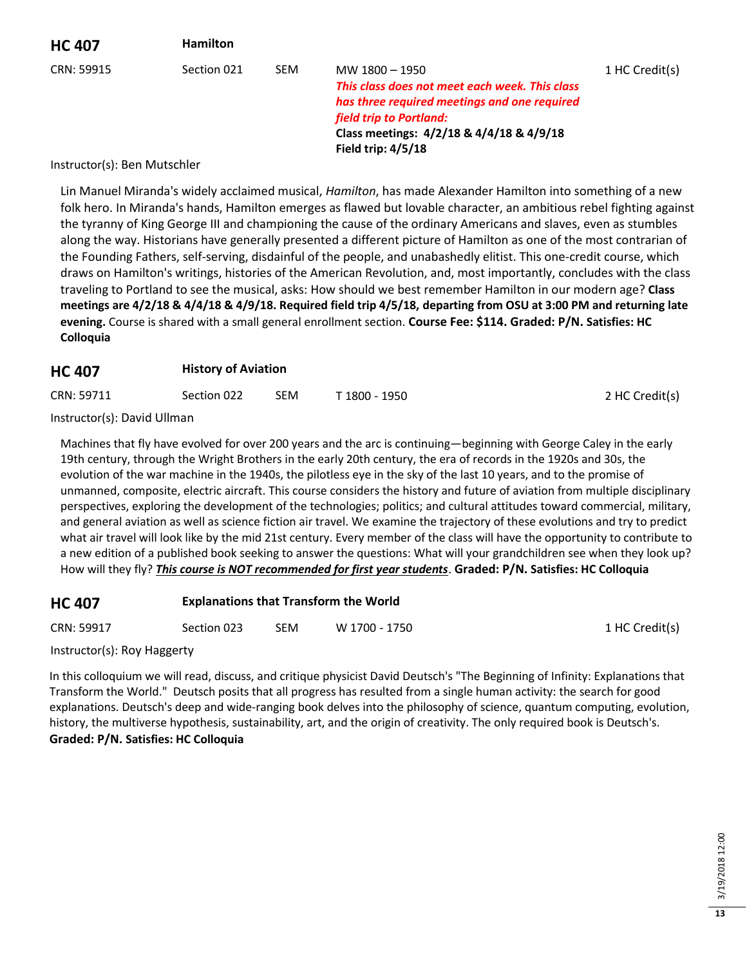| <b>HC 407</b>                | <b>Hamilton</b> |            |                                                                                                                                                                                                               |                |
|------------------------------|-----------------|------------|---------------------------------------------------------------------------------------------------------------------------------------------------------------------------------------------------------------|----------------|
| CRN: 59915                   | Section 021     | <b>SEM</b> | MW 1800 - 1950<br>This class does not meet each week. This class<br>has three required meetings and one required<br>field trip to Portland:<br>Class meetings: 4/2/18 & 4/4/18 & 4/9/18<br>Field trip: 4/5/18 | 1 HC Credit(s) |
| Instructor(s): Ren Mutschler |                 |            |                                                                                                                                                                                                               |                |

#### Instructor(s): Ben Mutschler

Lin Manuel Miranda's widely acclaimed musical, *Hamilton*, has made Alexander Hamilton into something of a new folk hero. In Miranda's hands, Hamilton emerges as flawed but lovable character, an ambitious rebel fighting against the tyranny of King George III and championing the cause of the ordinary Americans and slaves, even as stumbles along the way. Historians have generally presented a different picture of Hamilton as one of the most contrarian of the Founding Fathers, self-serving, disdainful of the people, and unabashedly elitist. This one-credit course, which draws on Hamilton's writings, histories of the American Revolution, and, most importantly, concludes with the class traveling to Portland to see the musical, asks: How should we best remember Hamilton in our modern age? **Class meetings are 4/2/18 & 4/4/18 & 4/9/18. Required field trip 4/5/18, departing from OSU at 3:00 PM and returning late evening.** Course is shared with a small general enrollment section. **Course Fee: \$114. Graded: P/N. Satisfies: HC Colloquia**

#### **HC 407 History of Aviation**

| CRN: 59711<br><b>SEM</b><br>Section 022<br>T 1800 - 1950 | 2 HC Credit(s) |
|----------------------------------------------------------|----------------|
|----------------------------------------------------------|----------------|

Instructor(s): David Ullman

Machines that fly have evolved for over 200 years and the arc is continuing—beginning with George Caley in the early 19th century, through the Wright Brothers in the early 20th century, the era of records in the 1920s and 30s, the evolution of the war machine in the 1940s, the pilotless eye in the sky of the last 10 years, and to the promise of unmanned, composite, electric aircraft. This course considers the history and future of aviation from multiple disciplinary perspectives, exploring the development of the technologies; politics; and cultural attitudes toward commercial, military, and general aviation as well as science fiction air travel. We examine the trajectory of these evolutions and try to predict what air travel will look like by the mid 21st century. Every member of the class will have the opportunity to contribute to a new edition of a published book seeking to answer the questions: What will your grandchildren see when they look up? How will they fly? *This course is NOT recommended for first year students*. **Graded: P/N. Satisfies: HC Colloquia**

| <b>HC 407</b> | <b>Explanations that Transform the World</b> |
|---------------|----------------------------------------------|
|---------------|----------------------------------------------|

CRN: 59917 Section 023 SEM W 1700 - 1750 SEN 1 HC Credit(s)

Instructor(s): Roy Haggerty

In this colloquium we will read, discuss, and critique physicist David Deutsch's "The Beginning of Infinity: Explanations that Transform the World." Deutsch posits that all progress has resulted from a single human activity: the search for good explanations. Deutsch's deep and wide-ranging book delves into the philosophy of science, quantum computing, evolution, history, the multiverse hypothesis, sustainability, art, and the origin of creativity. The only required book is Deutsch's. **Graded: P/N. Satisfies: HC Colloquia**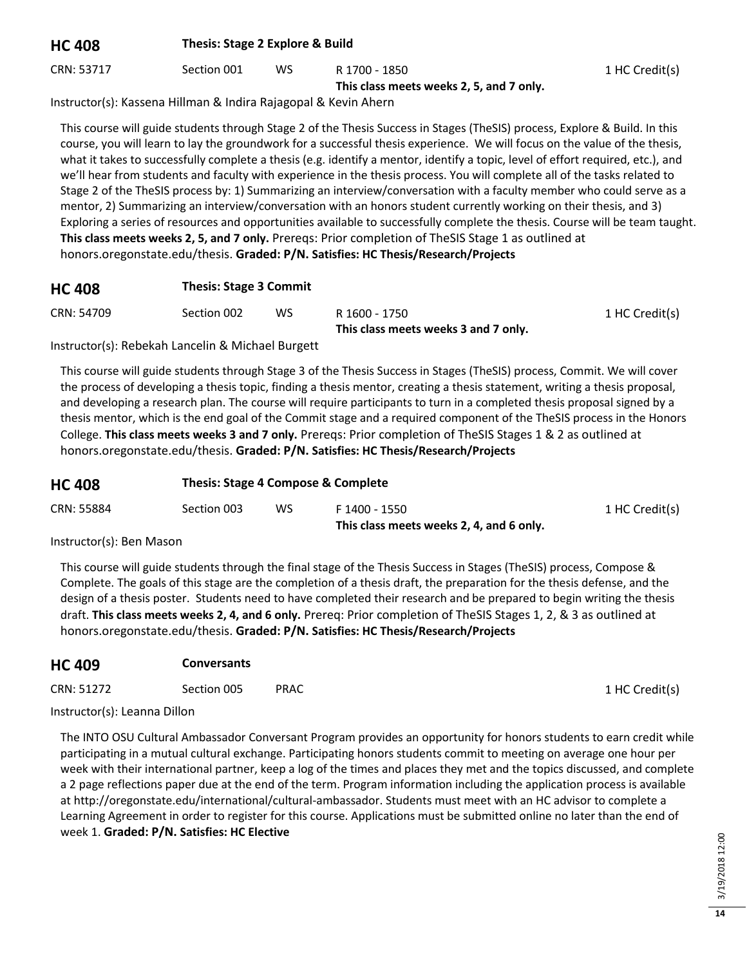| <b>HC 408</b> | Thesis: Stage 2 Explore & Build |     |               |                |
|---------------|---------------------------------|-----|---------------|----------------|
| CRN: 53717    | Section 001                     | WS. | R 1700 - 1850 | 1 HC Credit(s) |

**This class meets weeks 2, 5, and 7 only.**

Instructor(s): Kassena Hillman & Indira Rajagopal & Kevin Ahern

This course will guide students through Stage 2 of the Thesis Success in Stages (TheSIS) process, Explore & Build. In this course, you will learn to lay the groundwork for a successful thesis experience. We will focus on the value of the thesis, what it takes to successfully complete a thesis (e.g. identify a mentor, identify a topic, level of effort required, etc.), and we'll hear from students and faculty with experience in the thesis process. You will complete all of the tasks related to Stage 2 of the TheSIS process by: 1) Summarizing an interview/conversation with a faculty member who could serve as a mentor, 2) Summarizing an interview/conversation with an honors student currently working on their thesis, and 3) Exploring a series of resources and opportunities available to successfully complete the thesis. Course will be team taught. **This class meets weeks 2, 5, and 7 only.** Prereqs: Prior completion of TheSIS Stage 1 as outlined at honors.oregonstate.edu/thesis. **Graded: P/N. Satisfies: HC Thesis/Research/Projects**

| <b>HC 408</b> | <b>Thesis: Stage 3 Commit</b> |    |               |                |
|---------------|-------------------------------|----|---------------|----------------|
| CRN: 54709    | Section 002                   | WS | R 1600 - 1750 | 1 HC Credit(s) |

**This class meets weeks 3 and 7 only.**

Instructor(s): Rebekah Lancelin & Michael Burgett

This course will guide students through Stage 3 of the Thesis Success in Stages (TheSIS) process, Commit. We will cover the process of developing a thesis topic, finding a thesis mentor, creating a thesis statement, writing a thesis proposal, and developing a research plan. The course will require participants to turn in a completed thesis proposal signed by a thesis mentor, which is the end goal of the Commit stage and a required component of the TheSIS process in the Honors College. **This class meets weeks 3 and 7 only.** Prereqs: Prior completion of TheSIS Stages 1 & 2 as outlined at honors.oregonstate.edu/thesis. **Graded: P/N. Satisfies: HC Thesis/Research/Projects**

| <b>HC 408</b> |             | Thesis: Stage 4 Compose & Complete |                                          |                |  |  |
|---------------|-------------|------------------------------------|------------------------------------------|----------------|--|--|
| CRN: 55884    | Section 003 | ws                                 | F 1400 - 1550                            | 1 HC Credit(s) |  |  |
|               |             |                                    | This class meets weeks 2, 4, and 6 only. |                |  |  |

Instructor(s): Ben Mason

This course will guide students through the final stage of the Thesis Success in Stages (TheSIS) process, Compose & Complete. The goals of this stage are the completion of a thesis draft, the preparation for the thesis defense, and the design of a thesis poster. Students need to have completed their research and be prepared to begin writing the thesis draft. **This class meets weeks 2, 4, and 6 only.** Prereq: Prior completion of TheSIS Stages 1, 2, & 3 as outlined at honors.oregonstate.edu/thesis. **Graded: P/N. Satisfies: HC Thesis/Research/Projects**

| <b>HC 409</b> | <b>Conversants</b> |             |  |                |
|---------------|--------------------|-------------|--|----------------|
| CRN: 51272    | Section 005        | <b>PRAC</b> |  | 1 HC Credit(s) |

Instructor(s): Leanna Dillon

The INTO OSU Cultural Ambassador Conversant Program provides an opportunity for honors students to earn credit while participating in a mutual cultural exchange. Participating honors students commit to meeting on average one hour per week with their international partner, keep a log of the times and places they met and the topics discussed, and complete a 2 page reflections paper due at the end of the term. Program information including the application process is available at http://oregonstate.edu/international/cultural-ambassador. Students must meet with an HC advisor to complete a Learning Agreement in order to register for this course. Applications must be submitted online no later than the end of week 1. **Graded: P/N. Satisfies: HC Elective**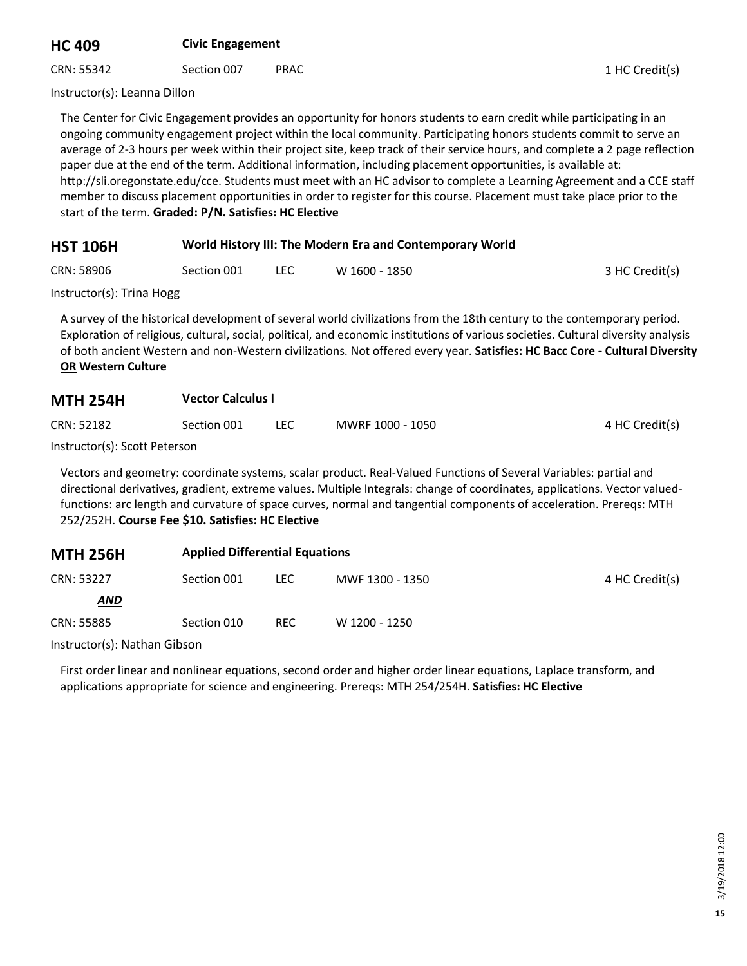# **HC 409 Civic Engagement**

CRN: 55342 Section 007 PRAC 2011 1 HC Credit(s)

Instructor(s): Leanna Dillon

The Center for Civic Engagement provides an opportunity for honors students to earn credit while participating in an ongoing community engagement project within the local community. Participating honors students commit to serve an average of 2-3 hours per week within their project site, keep track of their service hours, and complete a 2 page reflection paper due at the end of the term. Additional information, including placement opportunities, is available at: http://sli.oregonstate.edu/cce. Students must meet with an HC advisor to complete a Learning Agreement and a CCE staff member to discuss placement opportunities in order to register for this course. Placement must take place prior to the start of the term. **Graded: P/N. Satisfies: HC Elective**

| <b>HST 106H</b> | World History III: The Modern Era and Contemporary World |
|-----------------|----------------------------------------------------------|
|-----------------|----------------------------------------------------------|

CRN: 58906 Section 001 LEC W 1600 - 1850 3HC Credit(s)

Instructor(s): Trina Hogg

A survey of the historical development of several world civilizations from the 18th century to the contemporary period. Exploration of religious, cultural, social, political, and economic institutions of various societies. Cultural diversity analysis of both ancient Western and non-Western civilizations. Not offered every year. **Satisfies: HC Bacc Core - Cultural Diversity OR Western Culture**

| CRN: 52182                    | Section 001 | MWRF 1000 - 1050 | 4 HC Credit(s) |
|-------------------------------|-------------|------------------|----------------|
| Instructor(s): Scott Deterson |             |                  |                |

Instructor(s): Scott Peterson

Vectors and geometry: coordinate systems, scalar product. Real-Valued Functions of Several Variables: partial and directional derivatives, gradient, extreme values. Multiple Integrals: change of coordinates, applications. Vector valuedfunctions: arc length and curvature of space curves, normal and tangential components of acceleration. Prereqs: MTH 252/252H. **Course Fee \$10. Satisfies: HC Elective**

| <b>MTH 256H</b> | <b>Applied Differential Equations</b> |      |                 |                |  |
|-----------------|---------------------------------------|------|-----------------|----------------|--|
| CRN: 53227      | Section 001                           | LEC. | MWF 1300 - 1350 | 4 HC Credit(s) |  |
| <b>AND</b>      |                                       |      |                 |                |  |
| CRN: 55885      | Section 010                           | REC. | W 1200 - 1250   |                |  |

Instructor(s): Nathan Gibson

First order linear and nonlinear equations, second order and higher order linear equations, Laplace transform, and applications appropriate for science and engineering. Prereqs: MTH 254/254H. **Satisfies: HC Elective**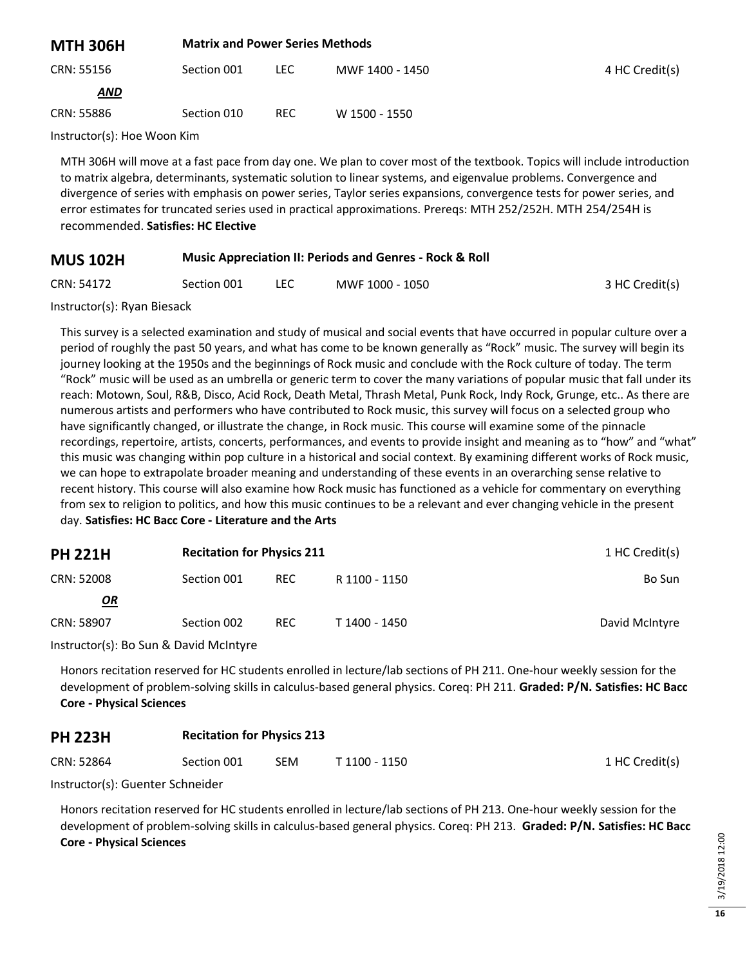| <b>MTH 306H</b>                                                                                        | <b>Matrix and Power Series Methods</b> |      |                 |                |  |
|--------------------------------------------------------------------------------------------------------|----------------------------------------|------|-----------------|----------------|--|
| CRN: 55156                                                                                             | Section 001                            | LEC. | MWF 1400 - 1450 | 4 HC Credit(s) |  |
| <b>AND</b>                                                                                             |                                        |      |                 |                |  |
| CRN: 55886                                                                                             | Section 010                            | REC. | W 1500 - 1550   |                |  |
| $\mathbf{r}$ , $\mathbf{r}$ , $\mathbf{r}$ , $\mathbf{r}$ , $\mathbf{r}$ , $\mathbf{r}$ , $\mathbf{r}$ |                                        |      |                 |                |  |

Instructor(s): Hoe Woon Kim

MTH 306H will move at a fast pace from day one. We plan to cover most of the textbook. Topics will include introduction to matrix algebra, determinants, systematic solution to linear systems, and eigenvalue problems. Convergence and divergence of series with emphasis on power series, Taylor series expansions, convergence tests for power series, and error estimates for truncated series used in practical approximations. Prereqs: MTH 252/252H. MTH 254/254H is recommended. **Satisfies: HC Elective**

| <b>MUS 102H</b> | <b>Music Appreciation II: Periods and Genres - Rock &amp; Roll</b> |  |
|-----------------|--------------------------------------------------------------------|--|
|-----------------|--------------------------------------------------------------------|--|

| 3 HC Credit(s) |
|----------------|
|                |

Instructor(s): Ryan Biesack

This survey is a selected examination and study of musical and social events that have occurred in popular culture over a period of roughly the past 50 years, and what has come to be known generally as "Rock" music. The survey will begin its journey looking at the 1950s and the beginnings of Rock music and conclude with the Rock culture of today. The term "Rock" music will be used as an umbrella or generic term to cover the many variations of popular music that fall under its reach: Motown, Soul, R&B, Disco, Acid Rock, Death Metal, Thrash Metal, Punk Rock, Indy Rock, Grunge, etc.. As there are numerous artists and performers who have contributed to Rock music, this survey will focus on a selected group who have significantly changed, or illustrate the change, in Rock music. This course will examine some of the pinnacle recordings, repertoire, artists, concerts, performances, and events to provide insight and meaning as to "how" and "what" this music was changing within pop culture in a historical and social context. By examining different works of Rock music, we can hope to extrapolate broader meaning and understanding of these events in an overarching sense relative to recent history. This course will also examine how Rock music has functioned as a vehicle for commentary on everything from sex to religion to politics, and how this music continues to be a relevant and ever changing vehicle in the present day. **Satisfies: HC Bacc Core - Literature and the Arts**

| <b>PH 221H</b> | <b>Recitation for Physics 211</b> |            |               | 1 HC Credit(s) |
|----------------|-----------------------------------|------------|---------------|----------------|
| CRN: 52008     | Section 001                       | <b>REC</b> | R 1100 - 1150 | Bo Sun         |
| <u>OR</u>      |                                   |            |               |                |
| CRN: 58907     | Section 002                       | <b>REC</b> | T 1400 - 1450 | David McIntyre |

Instructor(s): Bo Sun & David McIntyre

Honors recitation reserved for HC students enrolled in lecture/lab sections of PH 211. One-hour weekly session for the development of problem-solving skills in calculus-based general physics. Coreq: PH 211. **Graded: P/N. Satisfies: HC Bacc Core - Physical Sciences**

#### **PH 223H Recitation for Physics 213**

| CRN: 52864<br>SEM<br>Section 001<br>T 1100 - 1150 | 1 HC Credit(s) |
|---------------------------------------------------|----------------|
|---------------------------------------------------|----------------|

Instructor(s): Guenter Schneider

Honors recitation reserved for HC students enrolled in lecture/lab sections of PH 213. One-hour weekly session for the development of problem-solving skills in calculus-based general physics. Coreq: PH 213. **Graded: P/N. Satisfies: HC Bacc Core - Physical Sciences**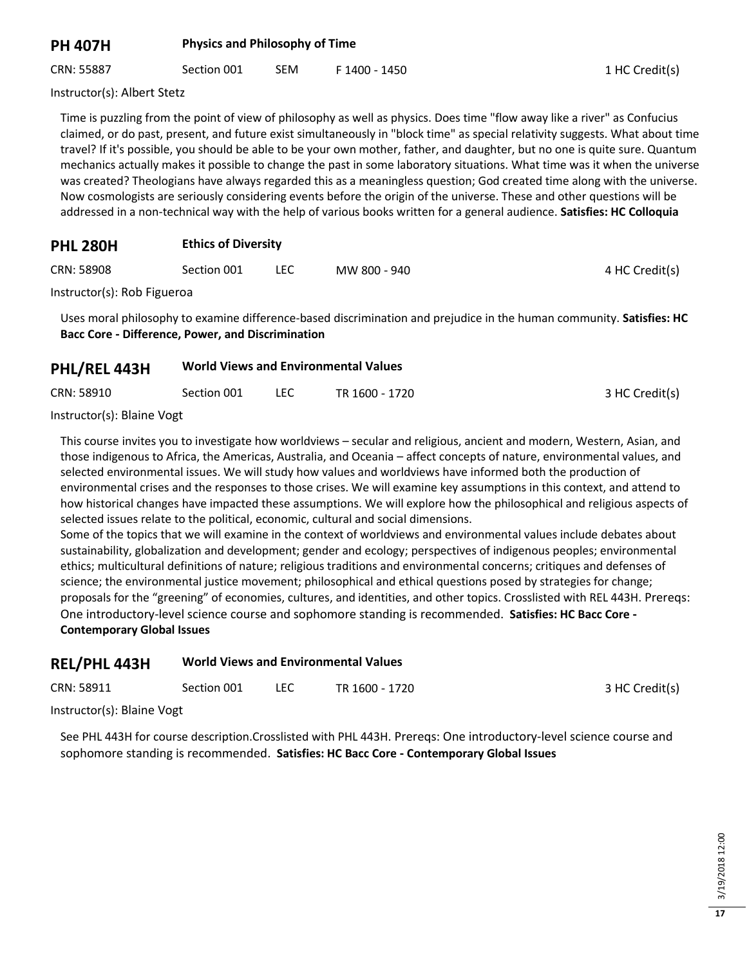## **PH 407H Physics and Philosophy of Time**

CRN: 55887 Section 001 SEM F 1400 - 1450 Section 3 HC Credit(s)

Instructor(s): Albert Stetz

Time is puzzling from the point of view of philosophy as well as physics. Does time "flow away like a river" as Confucius claimed, or do past, present, and future exist simultaneously in "block time" as special relativity suggests. What about time travel? If it's possible, you should be able to be your own mother, father, and daughter, but no one is quite sure. Quantum mechanics actually makes it possible to change the past in some laboratory situations. What time was it when the universe was created? Theologians have always regarded this as a meaningless question; God created time along with the universe. Now cosmologists are seriously considering events before the origin of the universe. These and other questions will be addressed in a non-technical way with the help of various books written for a general audience. **Satisfies: HC Colloquia**

## **PHL 280H Ethics of Diversity**

| CRN: 58908<br>Section 001 | __ | MW 800 - 940 | 4 HC Credit(s) |
|---------------------------|----|--------------|----------------|
|---------------------------|----|--------------|----------------|

Instructor(s): Rob Figueroa

Uses moral philosophy to examine difference-based discrimination and prejudice in the human community. **Satisfies: HC Bacc Core - Difference, Power, and Discrimination**

## **PHL/REL 443H World Views and Environmental Values**

| CRN: 58910 | Section 001 | TR 1600 - 1720 | 3 HC Credit(s) |
|------------|-------------|----------------|----------------|
|            |             |                |                |

Instructor(s): Blaine Vogt

This course invites you to investigate how worldviews – secular and religious, ancient and modern, Western, Asian, and those indigenous to Africa, the Americas, Australia, and Oceania – affect concepts of nature, environmental values, and selected environmental issues. We will study how values and worldviews have informed both the production of environmental crises and the responses to those crises. We will examine key assumptions in this context, and attend to how historical changes have impacted these assumptions. We will explore how the philosophical and religious aspects of selected issues relate to the political, economic, cultural and social dimensions.

Some of the topics that we will examine in the context of worldviews and environmental values include debates about sustainability, globalization and development; gender and ecology; perspectives of indigenous peoples; environmental ethics; multicultural definitions of nature; religious traditions and environmental concerns; critiques and defenses of science; the environmental justice movement; philosophical and ethical questions posed by strategies for change; proposals for the "greening" of economies, cultures, and identities, and other topics. Crosslisted with REL 443H. Prereqs: One introductory-level science course and sophomore standing is recommended. **Satisfies: HC Bacc Core - Contemporary Global Issues**

## **REL/PHL 443H World Views and Environmental Values**

| CRN: 58911                                              | Section 001 | LEC | TR 1600 - 1720 | 3 HC Credit(s) |
|---------------------------------------------------------|-------------|-----|----------------|----------------|
| $\sim$ $\sim$ $\sim$ $\sim$ $\sim$ $\sim$ $\sim$ $\sim$ |             |     |                |                |

Instructor(s): Blaine Vogt

See PHL 443H for course description.Crosslisted with PHL 443H. Prereqs: One introductory-level science course and sophomore standing is recommended. **Satisfies: HC Bacc Core - Contemporary Global Issues**